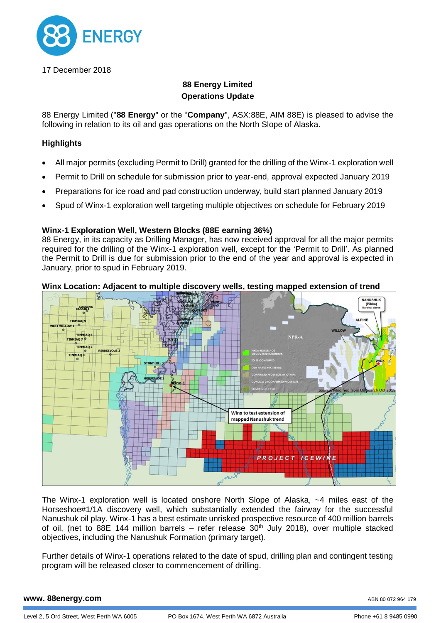

17 December 2018

# **88 Energy Limited Operations Update**

88 Energy Limited ("**88 Energy**" or the "**Company**", ASX:88E, AIM 88E) is pleased to advise the following in relation to its oil and gas operations on the North Slope of Alaska.

## **Highlights**

- All major permits (excluding Permit to Drill) granted for the drilling of the Winx-1 exploration well
- Permit to Drill on schedule for submission prior to year-end, approval expected January 2019
- Preparations for ice road and pad construction underway, build start planned January 2019
- Spud of Winx-1 exploration well targeting multiple objectives on schedule for February 2019

## **Winx-1 Exploration Well, Western Blocks (88E earning 36%)**

88 Energy, in its capacity as Drilling Manager, has now received approval for all the major permits required for the drilling of the Winx-1 exploration well, except for the 'Permit to Drill'. As planned the Permit to Drill is due for submission prior to the end of the year and approval is expected in January, prior to spud in February 2019.

## **Winx Location: Adjacent to multiple discovery wells, testing mapped extension of trend**



The Winx-1 exploration well is located onshore North Slope of Alaska, ~4 miles east of the Horseshoe#1/1A discovery well, which substantially extended the fairway for the successful Nanushuk oil play. Winx-1 has a best estimate unrisked prospective resource of 400 million barrels of oil, (net to 88E 144 million barrels – refer release  $30<sup>th</sup>$  July 2018), over multiple stacked objectives, including the Nanushuk Formation (primary target).

Further details of Winx-1 operations related to the date of spud, drilling plan and contingent testing program will be released closer to commencement of drilling.

#### **www. 88energy.com**

ABN 80 072 964 179